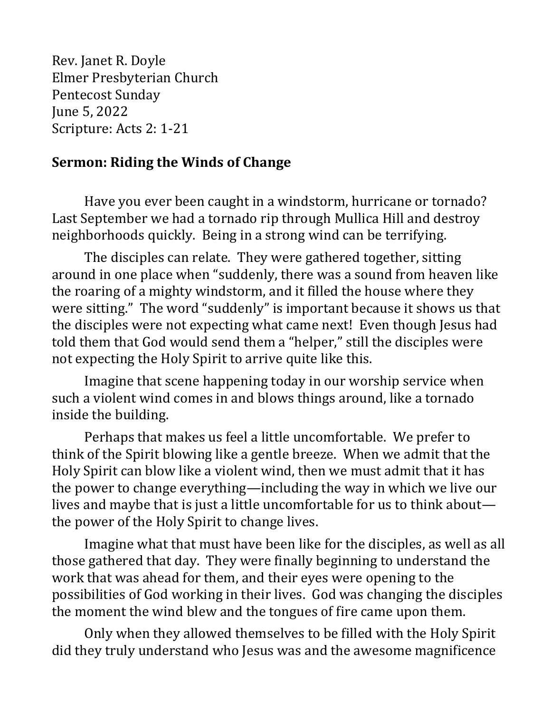Rev. Janet R. Doyle Elmer Presbyterian Church Pentecost Sunday June 5, 2022 Scripture: Acts 2: 1-21

## **Sermon: Riding the Winds of Change**

Have you ever been caught in a windstorm, hurricane or tornado? Last September we had a tornado rip through Mullica Hill and destroy neighborhoods quickly. Being in a strong wind can be terrifying.

The disciples can relate. They were gathered together, sitting around in one place when "suddenly, there was a sound from heaven like the roaring of a mighty windstorm, and it filled the house where they were sitting." The word "suddenly" is important because it shows us that the disciples were not expecting what came next! Even though Jesus had told them that God would send them a "helper," still the disciples were not expecting the Holy Spirit to arrive quite like this.

Imagine that scene happening today in our worship service when such a violent wind comes in and blows things around, like a tornado inside the building.

Perhaps that makes us feel a little uncomfortable. We prefer to think of the Spirit blowing like a gentle breeze. When we admit that the Holy Spirit can blow like a violent wind, then we must admit that it has the power to change everything—including the way in which we live our lives and maybe that is just a little uncomfortable for us to think about the power of the Holy Spirit to change lives.

Imagine what that must have been like for the disciples, as well as all those gathered that day. They were finally beginning to understand the work that was ahead for them, and their eyes were opening to the possibilities of God working in their lives. God was changing the disciples the moment the wind blew and the tongues of fire came upon them.

Only when they allowed themselves to be filled with the Holy Spirit did they truly understand who Jesus was and the awesome magnificence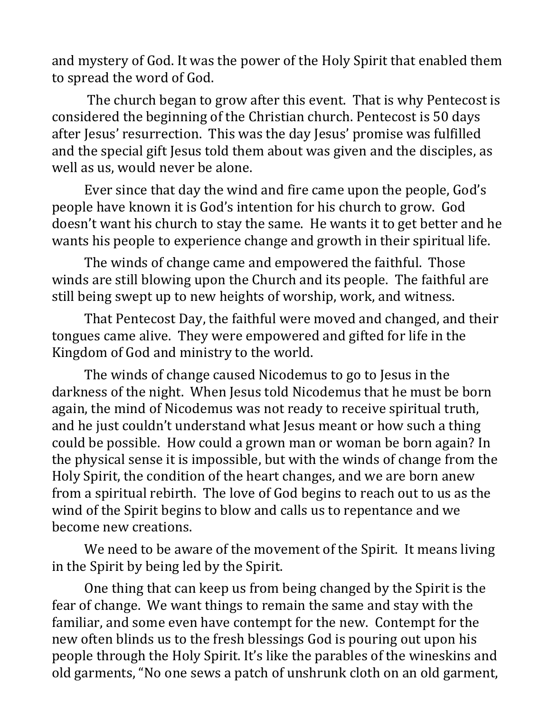and mystery of God. It was the power of the Holy Spirit that enabled them to spread the word of God.

The church began to grow after this event. That is why Pentecost is considered the beginning of the Christian church. Pentecost is 50 days after Jesus' resurrection. This was the day Jesus' promise was fulfilled and the special gift Jesus told them about was given and the disciples, as well as us, would never be alone.

Ever since that day the wind and fire came upon the people, God's people have known it is God's intention for his church to grow. God doesn't want his church to stay the same. He wants it to get better and he wants his people to experience change and growth in their spiritual life.

The winds of change came and empowered the faithful. Those winds are still blowing upon the Church and its people. The faithful are still being swept up to new heights of worship, work, and witness.

That Pentecost Day, the faithful were moved and changed, and their tongues came alive. They were empowered and gifted for life in the Kingdom of God and ministry to the world.

The winds of change caused Nicodemus to go to Jesus in the darkness of the night. When Jesus told Nicodemus that he must be born again, the mind of Nicodemus was not ready to receive spiritual truth, and he just couldn't understand what Jesus meant or how such a thing could be possible. How could a grown man or woman be born again? In the physical sense it is impossible, but with the winds of change from the Holy Spirit, the condition of the heart changes, and we are born anew from a spiritual rebirth. The love of God begins to reach out to us as the wind of the Spirit begins to blow and calls us to repentance and we become new creations.

We need to be aware of the movement of the Spirit. It means living in the Spirit by being led by the Spirit.

One thing that can keep us from being changed by the Spirit is the fear of change. We want things to remain the same and stay with the familiar, and some even have contempt for the new. Contempt for the new often blinds us to the fresh blessings God is pouring out upon his people through the Holy Spirit. It's like the parables of the wineskins and old garments, "No one sews a patch of unshrunk cloth on an old garment,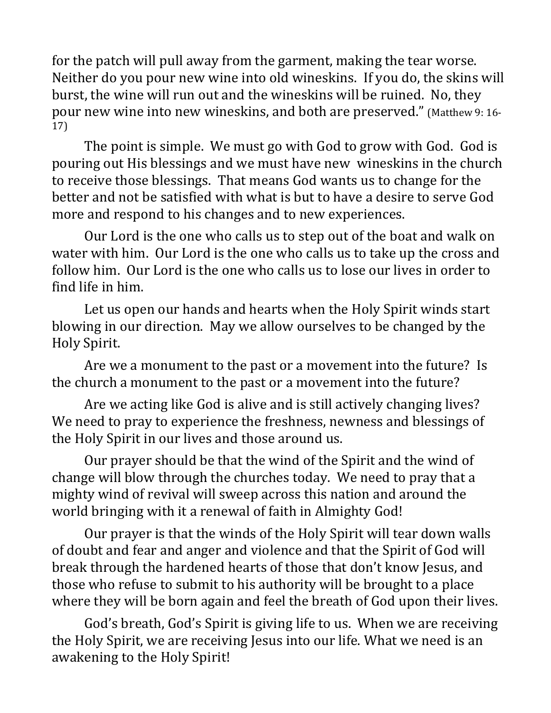for the patch will pull away from the garment, making the tear worse. Neither do you pour new wine into old wineskins. If you do, the skins will burst, the wine will run out and the wineskins will be ruined. No, they pour new wine into new wineskins, and both are preserved." (Matthew 9: 16- 17)

The point is simple. We must go with God to grow with God. God is pouring out His blessings and we must have new wineskins in the church to receive those blessings. That means God wants us to change for the better and not be satisfied with what is but to have a desire to serve God more and respond to his changes and to new experiences.

Our Lord is the one who calls us to step out of the boat and walk on water with him. Our Lord is the one who calls us to take up the cross and follow him. Our Lord is the one who calls us to lose our lives in order to find life in him.

Let us open our hands and hearts when the Holy Spirit winds start blowing in our direction. May we allow ourselves to be changed by the Holy Spirit.

Are we a monument to the past or a movement into the future? Is the church a monument to the past or a movement into the future?

Are we acting like God is alive and is still actively changing lives? We need to pray to experience the freshness, newness and blessings of the Holy Spirit in our lives and those around us.

Our prayer should be that the wind of the Spirit and the wind of change will blow through the churches today. We need to pray that a mighty wind of revival will sweep across this nation and around the world bringing with it a renewal of faith in Almighty God!

Our prayer is that the winds of the Holy Spirit will tear down walls of doubt and fear and anger and violence and that the Spirit of God will break through the hardened hearts of those that don't know Jesus, and those who refuse to submit to his authority will be brought to a place where they will be born again and feel the breath of God upon their lives.

God's breath, God's Spirit is giving life to us. When we are receiving the Holy Spirit, we are receiving Jesus into our life. What we need is an awakening to the Holy Spirit!